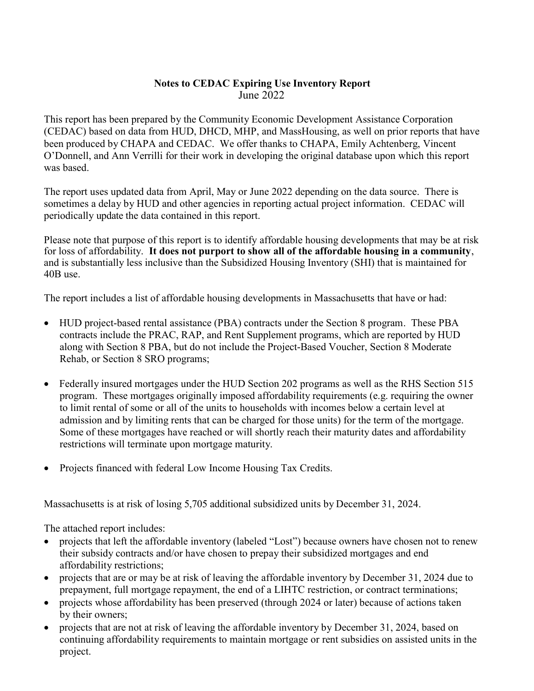## Notes to CEDAC Expiring Use Inventory Report June 2022

This report has been prepared by the Community Economic Development Assistance Corporation (CEDAC) based on data from HUD, DHCD, MHP, and MassHousing, as well on prior reports that have been produced by CHAPA and CEDAC. We offer thanks to CHAPA, Emily Achtenberg, Vincent O'Donnell, and Ann Verrilli for their work in developing the original database upon which this report was based.

The report uses updated data from April, May or June 2022 depending on the data source. There is sometimes a delay by HUD and other agencies in reporting actual project information. CEDAC will periodically update the data contained in this report.

Please note that purpose of this report is to identify affordable housing developments that may be at risk for loss of affordability. It does not purport to show all of the affordable housing in a community, and is substantially less inclusive than the Subsidized Housing Inventory (SHI) that is maintained for 40B use.

The report includes a list of affordable housing developments in Massachusetts that have or had:

- HUD project-based rental assistance (PBA) contracts under the Section 8 program. These PBA contracts include the PRAC, RAP, and Rent Supplement programs, which are reported by HUD along with Section 8 PBA, but do not include the Project-Based Voucher, Section 8 Moderate Rehab, or Section 8 SRO programs;
- Federally insured mortgages under the HUD Section 202 programs as well as the RHS Section 515 program. These mortgages originally imposed affordability requirements (e.g. requiring the owner to limit rental of some or all of the units to households with incomes below a certain level at admission and by limiting rents that can be charged for those units) for the term of the mortgage. Some of these mortgages have reached or will shortly reach their maturity dates and affordability restrictions will terminate upon mortgage maturity.
- Projects financed with federal Low Income Housing Tax Credits.

Massachusetts is at risk of losing 5,705 additional subsidized units by December 31, 2024.

The attached report includes:

- projects that left the affordable inventory (labeled "Lost") because owners have chosen not to renew their subsidy contracts and/or have chosen to prepay their subsidized mortgages and end affordability restrictions;
- projects that are or may be at risk of leaving the affordable inventory by December 31, 2024 due to prepayment, full mortgage repayment, the end of a LIHTC restriction, or contract terminations;
- projects whose affordability has been preserved (through 2024 or later) because of actions taken by their owners;
- projects that are not at risk of leaving the affordable inventory by December 31, 2024, based on continuing affordability requirements to maintain mortgage or rent subsidies on assisted units in the project.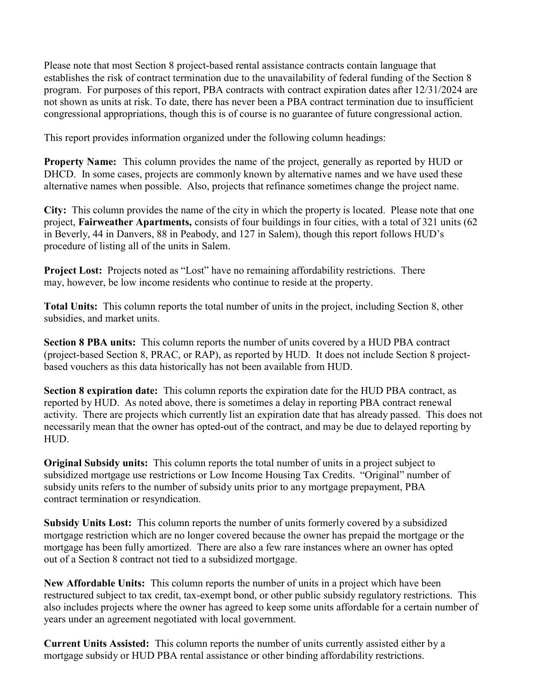Please note that most Section 8 project-based rental assistance contracts contain language that establishes the risk of contract termination due to the unavailability of federal funding of the Section 8 program. For purposes of this report, PBA contracts with contract expiration dates after 12/31/2024 are not shown as units at risk. To date, there has never been a PBA contract termination due to insufficient congressional appropriations, though this is of course is no guarantee of future congressional action.

This report provides information organized under the following column headings:

Property Name: This column provides the name of the project, generally as reported by HUD or DHCD. In some cases, projects are commonly known by alternative names and we have used these alternative names when possible. Also, projects that refinance sometimes change the project name.

City: This column provides the name of the city in which the property is located. Please note that one project, Fairweather Apartments, consists of four buildings in four cities, with a total of 321 units (62 in Beverly, 44 in Danvers, 88 in Peabody, and 127 in Salem), though this report follows HUD's procedure of listing all of the units in Salem.

Project Lost: Projects noted as "Lost" have no remaining affordability restrictions. There may, however, be low income residents who continue to reside at the property.

Total Units: This column reports the total number of units in the project, including Section 8, other subsidies, and market units.

Section 8 PBA units: This column reports the number of units covered by a HUD PBA contract (project-based Section 8, PRAC, or RAP), as reported by HUD. It does not include Section 8 projectbased vouchers as this data historically has not been available from HUD.

Section 8 expiration date: This column reports the expiration date for the HUD PBA contract, as reported by HUD. As noted above, there is sometimes a delay in reporting PBA contract renewal activity. There are projects which currently list an expiration date that has already passed. This does not necessarily mean that the owner has opted-out of the contract, and may be due to delayed reporting by HUD.

Original Subsidy units: This column reports the total number of units in a project subject to subsidized mortgage use restrictions or Low Income Housing Tax Credits. "Original" number of subsidy units refers to the number of subsidy units prior to any mortgage prepayment, PBA contract termination or resyndication.

Subsidy Units Lost: This column reports the number of units formerly covered by a subsidized mortgage restriction which are no longer covered because the owner has prepaid the mortgage or the mortgage has been fully amortized. There are also a few rare instances where an owner has opted out of a Section 8 contract not tied to a subsidized mortgage.

New Affordable Units: This column reports the number of units in a project which have been restructured subject to tax credit, tax-exempt bond, or other public subsidy regulatory restrictions. This also includes projects where the owner has agreed to keep some units affordable for a certain number of years under an agreement negotiated with local government.

Current Units Assisted: This column reports the number of units currently assisted either by a mortgage subsidy or HUD PBA rental assistance or other binding affordability restrictions.